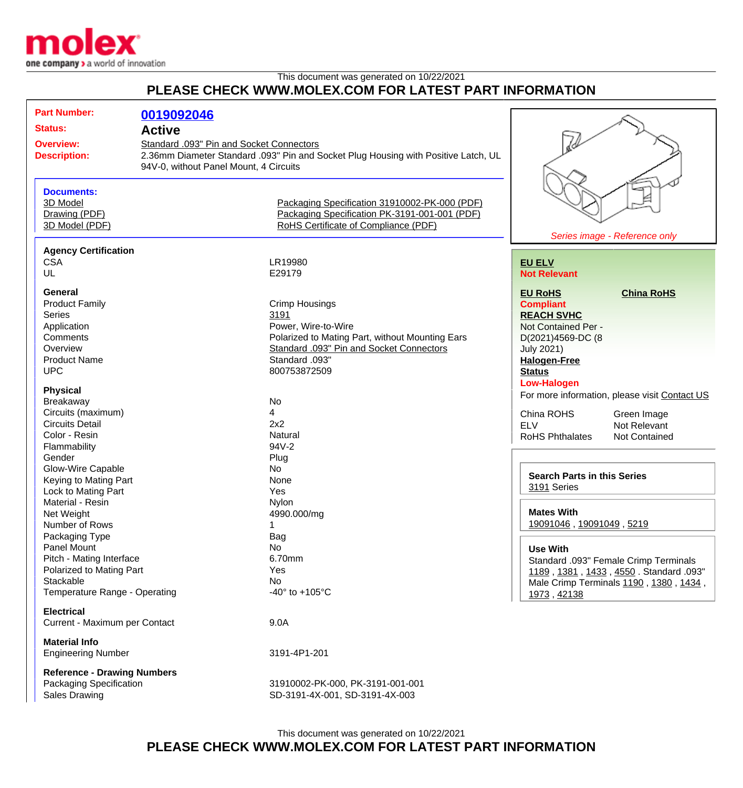

This document was generated on 10/22/2021

## **PLEASE CHECK WWW.MOLEX.COM FOR LATEST PART INFORMATION**

| <b>Part Number:</b>                | 0019092046                               |                                                                                    |                                    |                                               |
|------------------------------------|------------------------------------------|------------------------------------------------------------------------------------|------------------------------------|-----------------------------------------------|
| <b>Status:</b>                     | <b>Active</b>                            |                                                                                    |                                    |                                               |
|                                    |                                          |                                                                                    |                                    |                                               |
| <b>Overview:</b>                   | Standard .093" Pin and Socket Connectors |                                                                                    |                                    |                                               |
| <b>Description:</b>                |                                          | 2.36mm Diameter Standard .093" Pin and Socket Plug Housing with Positive Latch, UL |                                    |                                               |
|                                    | 94V-0, without Panel Mount, 4 Circuits   |                                                                                    |                                    |                                               |
|                                    |                                          |                                                                                    |                                    |                                               |
| <b>Documents:</b>                  |                                          |                                                                                    |                                    |                                               |
| 3D Model                           |                                          | Packaging Specification 31910002-PK-000 (PDF)                                      |                                    |                                               |
| Drawing (PDF)                      |                                          | Packaging Specification PK-3191-001-001 (PDF)                                      |                                    |                                               |
| 3D Model (PDF)                     |                                          | RoHS Certificate of Compliance (PDF)                                               |                                    |                                               |
|                                    |                                          |                                                                                    |                                    | Series image - Reference only                 |
| <b>Agency Certification</b>        |                                          |                                                                                    |                                    |                                               |
|                                    |                                          |                                                                                    |                                    |                                               |
| <b>CSA</b>                         |                                          | LR19980                                                                            | <b>EU ELV</b>                      |                                               |
| UL                                 |                                          | E29179                                                                             | <b>Not Relevant</b>                |                                               |
| <b>General</b>                     |                                          |                                                                                    | <b>EU RoHS</b>                     | <b>China RoHS</b>                             |
| <b>Product Family</b>              |                                          | <b>Crimp Housings</b>                                                              | <b>Compliant</b>                   |                                               |
| <b>Series</b>                      |                                          | 3191                                                                               |                                    |                                               |
|                                    |                                          |                                                                                    | <b>REACH SVHC</b>                  |                                               |
| Application                        |                                          | Power, Wire-to-Wire                                                                | Not Contained Per -                |                                               |
| Comments                           |                                          | Polarized to Mating Part, without Mounting Ears                                    | D(2021)4569-DC (8                  |                                               |
| Overview                           |                                          | Standard .093" Pin and Socket Connectors                                           | July 2021)                         |                                               |
| <b>Product Name</b>                |                                          | Standard .093"                                                                     | <b>Halogen-Free</b>                |                                               |
| <b>UPC</b>                         |                                          | 800753872509                                                                       | <b>Status</b>                      |                                               |
|                                    |                                          |                                                                                    | <b>Low-Halogen</b>                 |                                               |
| <b>Physical</b>                    |                                          |                                                                                    |                                    | For more information, please visit Contact US |
| Breakaway                          |                                          | <b>No</b>                                                                          |                                    |                                               |
| Circuits (maximum)                 |                                          | 4                                                                                  | China ROHS                         | Green Image                                   |
| <b>Circuits Detail</b>             |                                          | 2x2                                                                                | <b>ELV</b>                         | Not Relevant                                  |
| Color - Resin                      |                                          | Natural                                                                            | <b>RoHS Phthalates</b>             | <b>Not Contained</b>                          |
| Flammability                       |                                          | 94V-2                                                                              |                                    |                                               |
| Gender                             |                                          | Plug                                                                               |                                    |                                               |
| Glow-Wire Capable                  |                                          | <b>No</b>                                                                          |                                    |                                               |
|                                    |                                          |                                                                                    | <b>Search Parts in this Series</b> |                                               |
| Keying to Mating Part              |                                          | None                                                                               | 3191 Series                        |                                               |
| Lock to Mating Part                |                                          | Yes                                                                                |                                    |                                               |
| Material - Resin                   |                                          | Nylon                                                                              |                                    |                                               |
| Net Weight                         |                                          | 4990.000/mg                                                                        | <b>Mates With</b>                  |                                               |
| Number of Rows                     |                                          | 1                                                                                  | 19091046, 19091049, 5219           |                                               |
| Packaging Type                     |                                          | Bag                                                                                |                                    |                                               |
| Panel Mount                        |                                          | <b>No</b>                                                                          | <b>Use With</b>                    |                                               |
| Pitch - Mating Interface           |                                          | 6.70mm                                                                             |                                    | Standard .093" Female Crimp Terminals         |
| Polarized to Mating Part           |                                          | Yes                                                                                |                                    | 1189, 1381, 1433, 4550. Standard .093"        |
| Stackable                          |                                          | No                                                                                 |                                    | Male Crimp Terminals 1190, 1380, 1434,        |
| Temperature Range - Operating      |                                          | -40 $\degree$ to +105 $\degree$ C                                                  | 1973, 42138                        |                                               |
|                                    |                                          |                                                                                    |                                    |                                               |
| <b>Electrical</b>                  |                                          |                                                                                    |                                    |                                               |
| Current - Maximum per Contact      |                                          | 9.0A                                                                               |                                    |                                               |
| <b>Material Info</b>               |                                          |                                                                                    |                                    |                                               |
| <b>Engineering Number</b>          |                                          | 3191-4P1-201                                                                       |                                    |                                               |
|                                    |                                          |                                                                                    |                                    |                                               |
| <b>Reference - Drawing Numbers</b> |                                          |                                                                                    |                                    |                                               |
| Packaging Specification            |                                          | 31910002-PK-000, PK-3191-001-001                                                   |                                    |                                               |
| <b>Sales Drawing</b>               |                                          | SD-3191-4X-001, SD-3191-4X-003                                                     |                                    |                                               |
|                                    |                                          |                                                                                    |                                    |                                               |